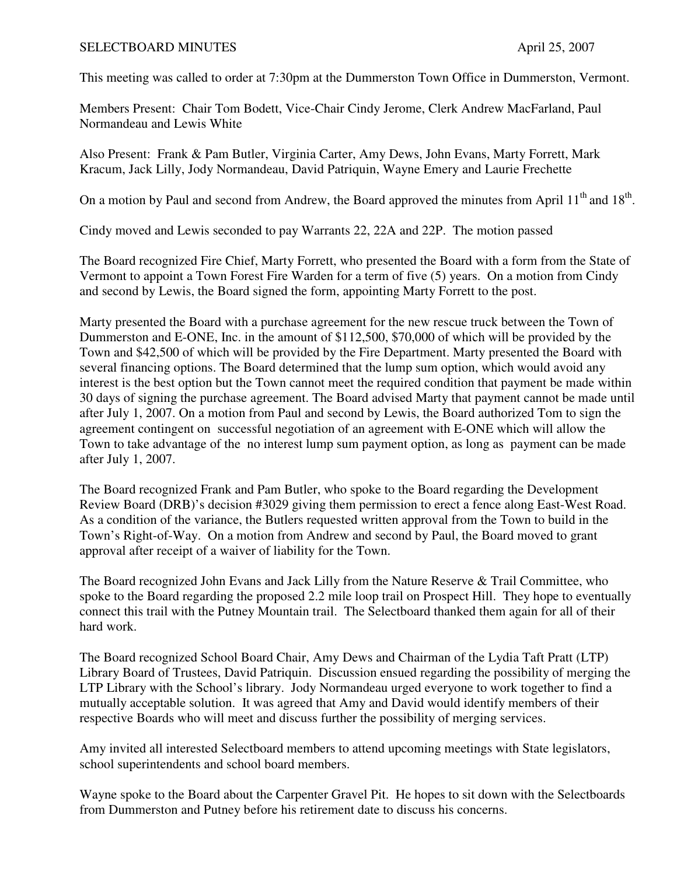## SELECTBOARD MINUTES April 25, 2007

This meeting was called to order at 7:30pm at the Dummerston Town Office in Dummerston, Vermont.

Members Present: Chair Tom Bodett, Vice-Chair Cindy Jerome, Clerk Andrew MacFarland, Paul Normandeau and Lewis White

Also Present: Frank & Pam Butler, Virginia Carter, Amy Dews, John Evans, Marty Forrett, Mark Kracum, Jack Lilly, Jody Normandeau, David Patriquin, Wayne Emery and Laurie Frechette

On a motion by Paul and second from Andrew, the Board approved the minutes from April  $11<sup>th</sup>$  and  $18<sup>th</sup>$ .

Cindy moved and Lewis seconded to pay Warrants 22, 22A and 22P. The motion passed

The Board recognized Fire Chief, Marty Forrett, who presented the Board with a form from the State of Vermont to appoint a Town Forest Fire Warden for a term of five (5) years. On a motion from Cindy and second by Lewis, the Board signed the form, appointing Marty Forrett to the post.

Marty presented the Board with a purchase agreement for the new rescue truck between the Town of Dummerston and E-ONE, Inc. in the amount of \$112,500, \$70,000 of which will be provided by the Town and \$42,500 of which will be provided by the Fire Department. Marty presented the Board with several financing options. The Board determined that the lump sum option, which would avoid any interest is the best option but the Town cannot meet the required condition that payment be made within 30 days of signing the purchase agreement. The Board advised Marty that payment cannot be made until after July 1, 2007. On a motion from Paul and second by Lewis, the Board authorized Tom to sign the agreement contingent on successful negotiation of an agreement with E-ONE which will allow the Town to take advantage of the no interest lump sum payment option, as long as payment can be made after July 1, 2007.

The Board recognized Frank and Pam Butler, who spoke to the Board regarding the Development Review Board (DRB)'s decision #3029 giving them permission to erect a fence along East-West Road. As a condition of the variance, the Butlers requested written approval from the Town to build in the Town's Right-of-Way. On a motion from Andrew and second by Paul, the Board moved to grant approval after receipt of a waiver of liability for the Town.

The Board recognized John Evans and Jack Lilly from the Nature Reserve & Trail Committee, who spoke to the Board regarding the proposed 2.2 mile loop trail on Prospect Hill. They hope to eventually connect this trail with the Putney Mountain trail. The Selectboard thanked them again for all of their hard work.

The Board recognized School Board Chair, Amy Dews and Chairman of the Lydia Taft Pratt (LTP) Library Board of Trustees, David Patriquin. Discussion ensued regarding the possibility of merging the LTP Library with the School's library. Jody Normandeau urged everyone to work together to find a mutually acceptable solution. It was agreed that Amy and David would identify members of their respective Boards who will meet and discuss further the possibility of merging services.

Amy invited all interested Selectboard members to attend upcoming meetings with State legislators, school superintendents and school board members.

Wayne spoke to the Board about the Carpenter Gravel Pit. He hopes to sit down with the Selectboards from Dummerston and Putney before his retirement date to discuss his concerns.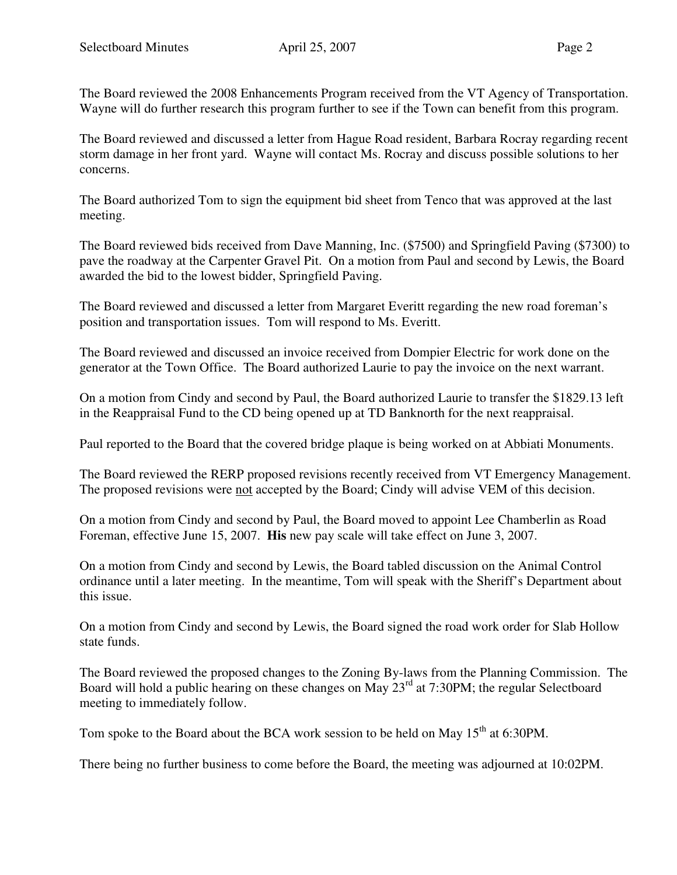The Board reviewed the 2008 Enhancements Program received from the VT Agency of Transportation. Wayne will do further research this program further to see if the Town can benefit from this program.

The Board reviewed and discussed a letter from Hague Road resident, Barbara Rocray regarding recent storm damage in her front yard. Wayne will contact Ms. Rocray and discuss possible solutions to her concerns.

The Board authorized Tom to sign the equipment bid sheet from Tenco that was approved at the last meeting.

The Board reviewed bids received from Dave Manning, Inc. (\$7500) and Springfield Paving (\$7300) to pave the roadway at the Carpenter Gravel Pit. On a motion from Paul and second by Lewis, the Board awarded the bid to the lowest bidder, Springfield Paving.

The Board reviewed and discussed a letter from Margaret Everitt regarding the new road foreman's position and transportation issues. Tom will respond to Ms. Everitt.

The Board reviewed and discussed an invoice received from Dompier Electric for work done on the generator at the Town Office. The Board authorized Laurie to pay the invoice on the next warrant.

On a motion from Cindy and second by Paul, the Board authorized Laurie to transfer the \$1829.13 left in the Reappraisal Fund to the CD being opened up at TD Banknorth for the next reappraisal.

Paul reported to the Board that the covered bridge plaque is being worked on at Abbiati Monuments.

The Board reviewed the RERP proposed revisions recently received from VT Emergency Management. The proposed revisions were not accepted by the Board; Cindy will advise VEM of this decision.

On a motion from Cindy and second by Paul, the Board moved to appoint Lee Chamberlin as Road Foreman, effective June 15, 2007. **His** new pay scale will take effect on June 3, 2007.

On a motion from Cindy and second by Lewis, the Board tabled discussion on the Animal Control ordinance until a later meeting. In the meantime, Tom will speak with the Sheriff's Department about this issue.

On a motion from Cindy and second by Lewis, the Board signed the road work order for Slab Hollow state funds.

The Board reviewed the proposed changes to the Zoning By-laws from the Planning Commission. The Board will hold a public hearing on these changes on May 23<sup>rd</sup> at 7:30PM; the regular Selectboard meeting to immediately follow.

Tom spoke to the Board about the BCA work session to be held on May  $15<sup>th</sup>$  at 6:30PM.

There being no further business to come before the Board, the meeting was adjourned at 10:02PM.